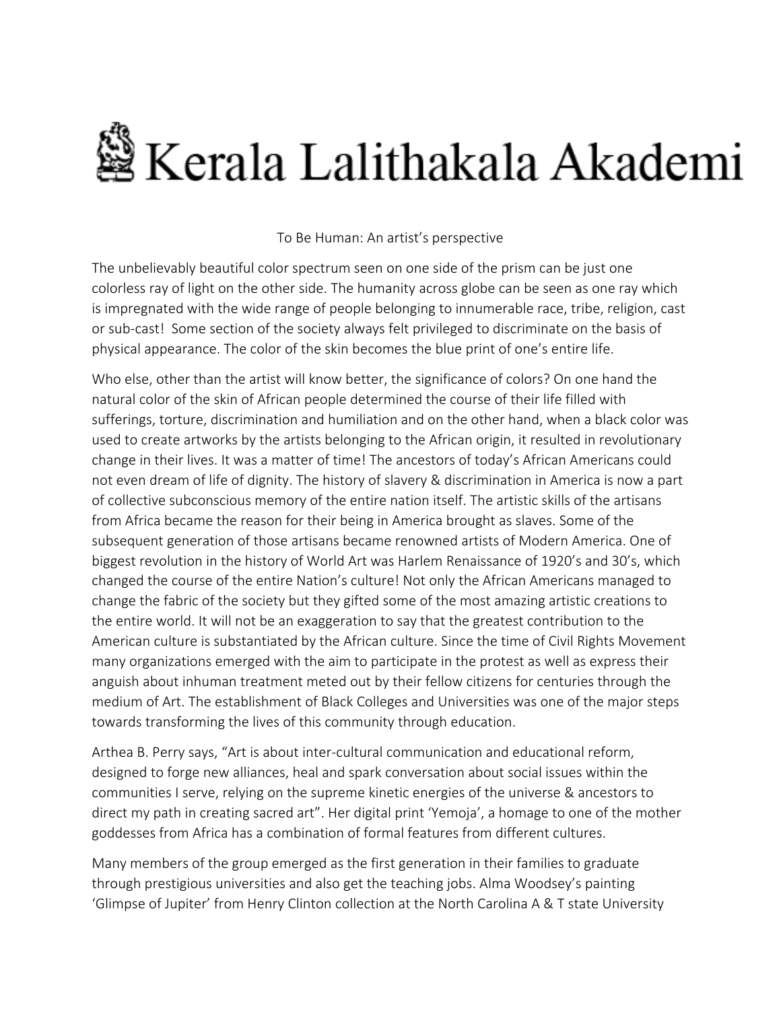## §Kerala Lalithakala Akademi

## To Be Human: An artist's perspective

The unbelievably beautiful color spectrum seen on one side of the prism can be just one colorless ray of light on the other side. The humanity across globe can be seen as one ray which is impregnated with the wide range of people belonging to innumerable race, tribe, religion, cast or sub-cast! Some section of the society always felt privileged to discriminate on the basis of physical appearance. The color of the skin becomes the blue print of one's entire life.

Who else, other than the artist will know better, the significance of colors? On one hand the natural color of the skin of African people determined the course of their life filled with sufferings, torture, discrimination and humiliation and on the other hand, when a black color was used to create artworks by the artists belonging to the African origin, it resulted in revolutionary change in their lives. It was a matter of time! The ancestors of today's African Americans could not even dream of life of dignity. The history of slavery & discrimination in America is now a part of collective subconscious memory of the entire nation itself. The artistic skills of the artisans from Africa became the reason for their being in America brought as slaves. Some of the subsequent generation of those artisans became renowned artists of Modern America. One of biggest revolution in the history of World Art was Harlem Renaissance of 1920's and 30's, which changed the course of the entire Nation's culture! Not only the African Americans managed to change the fabric of the society but they gifted some of the most amazing artistic creations to the entire world. It will not be an exaggeration to say that the greatest contribution to the American culture is substantiated by the African culture. Since the time of Civil Rights Movement many organizations emerged with the aim to participate in the protest as well as express their anguish about inhuman treatment meted out by their fellow citizens for centuries through the medium of Art. The establishment of Black Colleges and Universities was one of the major steps towards transforming the lives of this community through education.

Arthea B. Perry says, "Art is about inter-cultural communication and educational reform, designed to forge new alliances, heal and spark conversation about social issues within the communities I serve, relying on the supreme kinetic energies of the universe & ancestors to direct my path in creating sacred art". Her digital print 'Yemoja', a homage to one of the mother goddesses from Africa has a combination of formal features from different cultures.

Many members of the group emerged as the first generation in their families to graduate through prestigious universities and also get the teaching jobs. Alma Woodsey's painting 'Glimpse of Jupiter' from Henry Clinton collection at the North Carolina A & T state University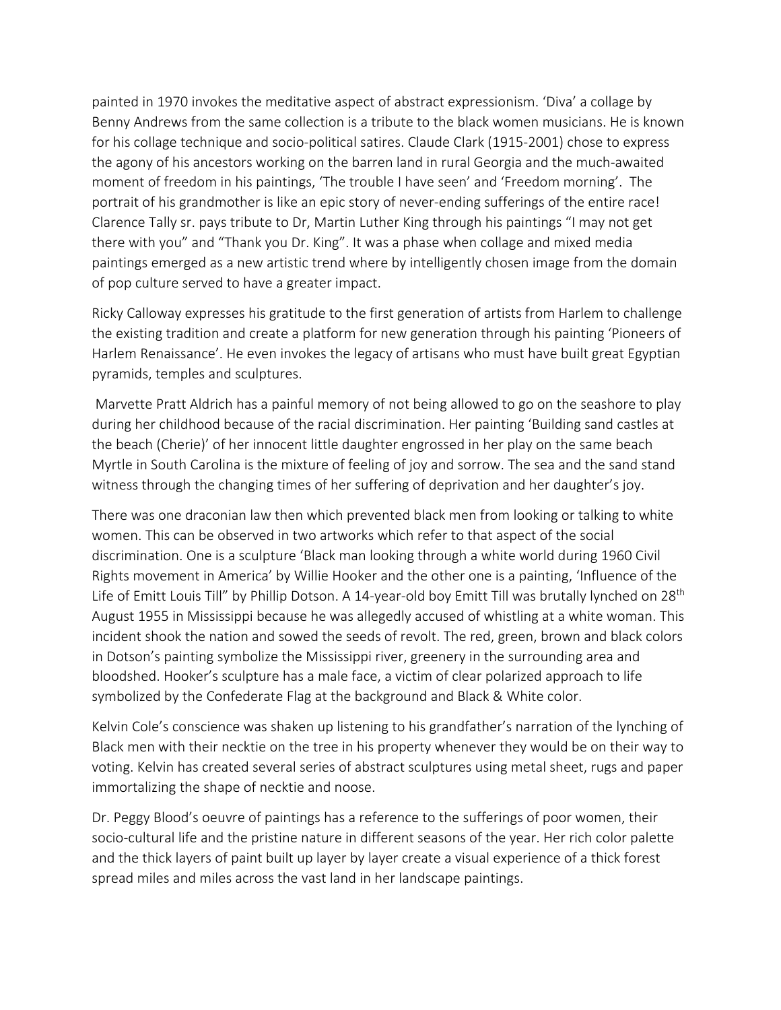painted in 1970 invokes the meditative aspect of abstract expressionism. 'Diva' a collage by Benny Andrews from the same collection is a tribute to the black women musicians. He is known for his collage technique and socio-political satires. Claude Clark (1915-2001) chose to express the agony of his ancestors working on the barren land in rural Georgia and the much-awaited moment of freedom in his paintings, 'The trouble I have seen' and 'Freedom morning'. The portrait of his grandmother is like an epic story of never-ending sufferings of the entire race! Clarence Tally sr. pays tribute to Dr, Martin Luther King through his paintings "I may not get there with you" and "Thank you Dr. King". It was a phase when collage and mixed media paintings emerged as a new artistic trend where by intelligently chosen image from the domain of pop culture served to have a greater impact.

Ricky Calloway expresses his gratitude to the first generation of artists from Harlem to challenge the existing tradition and create a platform for new generation through his painting 'Pioneers of Harlem Renaissance'. He even invokes the legacy of artisans who must have built great Egyptian pyramids, temples and sculptures.

Marvette Pratt Aldrich has a painful memory of not being allowed to go on the seashore to play during her childhood because of the racial discrimination. Her painting 'Building sand castles at the beach (Cherie)' of her innocent little daughter engrossed in her play on the same beach Myrtle in South Carolina is the mixture of feeling of joy and sorrow. The sea and the sand stand witness through the changing times of her suffering of deprivation and her daughter's joy.

There was one draconian law then which prevented black men from looking or talking to white women. This can be observed in two artworks which refer to that aspect of the social discrimination. One is a sculpture 'Black man looking through a white world during 1960 Civil Rights movement in America' by Willie Hooker and the other one is a painting, 'Influence of the Life of Emitt Louis Till" by Phillip Dotson. A 14-year-old boy Emitt Till was brutally lynched on 28<sup>th</sup> August 1955 in Mississippi because he was allegedly accused of whistling at a white woman. This incident shook the nation and sowed the seeds of revolt. The red, green, brown and black colors in Dotson's painting symbolize the Mississippi river, greenery in the surrounding area and bloodshed. Hooker's sculpture has a male face, a victim of clear polarized approach to life symbolized by the Confederate Flag at the background and Black & White color.

Kelvin Cole's conscience was shaken up listening to his grandfather's narration of the lynching of Black men with their necktie on the tree in his property whenever they would be on their way to voting. Kelvin has created several series of abstract sculptures using metal sheet, rugs and paper immortalizing the shape of necktie and noose.

Dr. Peggy Blood's oeuvre of paintings has a reference to the sufferings of poor women, their socio-cultural life and the pristine nature in different seasons of the year. Her rich color palette and the thick layers of paint built up layer by layer create a visual experience of a thick forest spread miles and miles across the vast land in her landscape paintings.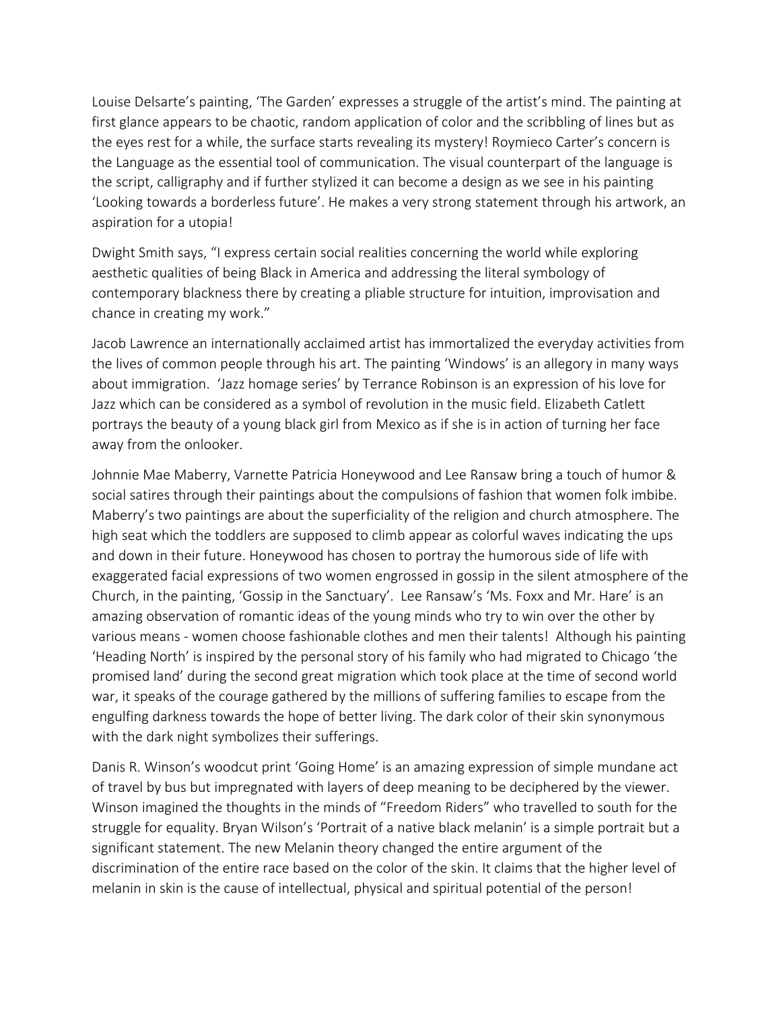Louise Delsarte's painting, 'The Garden' expresses a struggle of the artist's mind. The painting at first glance appears to be chaotic, random application of color and the scribbling of lines but as the eyes rest for a while, the surface starts revealing its mystery! Roymieco Carter's concern is the Language as the essential tool of communication. The visual counterpart of the language is the script, calligraphy and if further stylized it can become a design as we see in his painting 'Looking towards a borderless future'. He makes a very strong statement through his artwork, an aspiration for a utopia!

Dwight Smith says, "I express certain social realities concerning the world while exploring aesthetic qualities of being Black in America and addressing the literal symbology of contemporary blackness there by creating a pliable structure for intuition, improvisation and chance in creating my work."

Jacob Lawrence an internationally acclaimed artist has immortalized the everyday activities from the lives of common people through his art. The painting 'Windows' is an allegory in many ways about immigration. 'Jazz homage series' by Terrance Robinson is an expression of his love for Jazz which can be considered as a symbol of revolution in the music field. Elizabeth Catlett portrays the beauty of a young black girl from Mexico as if she is in action of turning her face away from the onlooker.

Johnnie Mae Maberry, Varnette Patricia Honeywood and Lee Ransaw bring a touch of humor & social satires through their paintings about the compulsions of fashion that women folk imbibe. Maberry's two paintings are about the superficiality of the religion and church atmosphere. The high seat which the toddlers are supposed to climb appear as colorful waves indicating the ups and down in their future. Honeywood has chosen to portray the humorous side of life with exaggerated facial expressions of two women engrossed in gossip in the silent atmosphere of the Church, in the painting, 'Gossip in the Sanctuary'. Lee Ransaw's 'Ms. Foxx and Mr. Hare' is an amazing observation of romantic ideas of the young minds who try to win over the other by various means - women choose fashionable clothes and men their talents! Although his painting 'Heading North' is inspired by the personal story of his family who had migrated to Chicago 'the promised land' during the second great migration which took place at the time of second world war, it speaks of the courage gathered by the millions of suffering families to escape from the engulfing darkness towards the hope of better living. The dark color of their skin synonymous with the dark night symbolizes their sufferings.

Danis R. Winson's woodcut print 'Going Home' is an amazing expression of simple mundane act of travel by bus but impregnated with layers of deep meaning to be deciphered by the viewer. Winson imagined the thoughts in the minds of "Freedom Riders" who travelled to south for the struggle for equality. Bryan Wilson's 'Portrait of a native black melanin' is a simple portrait but a significant statement. The new Melanin theory changed the entire argument of the discrimination of the entire race based on the color of the skin. It claims that the higher level of melanin in skin is the cause of intellectual, physical and spiritual potential of the person!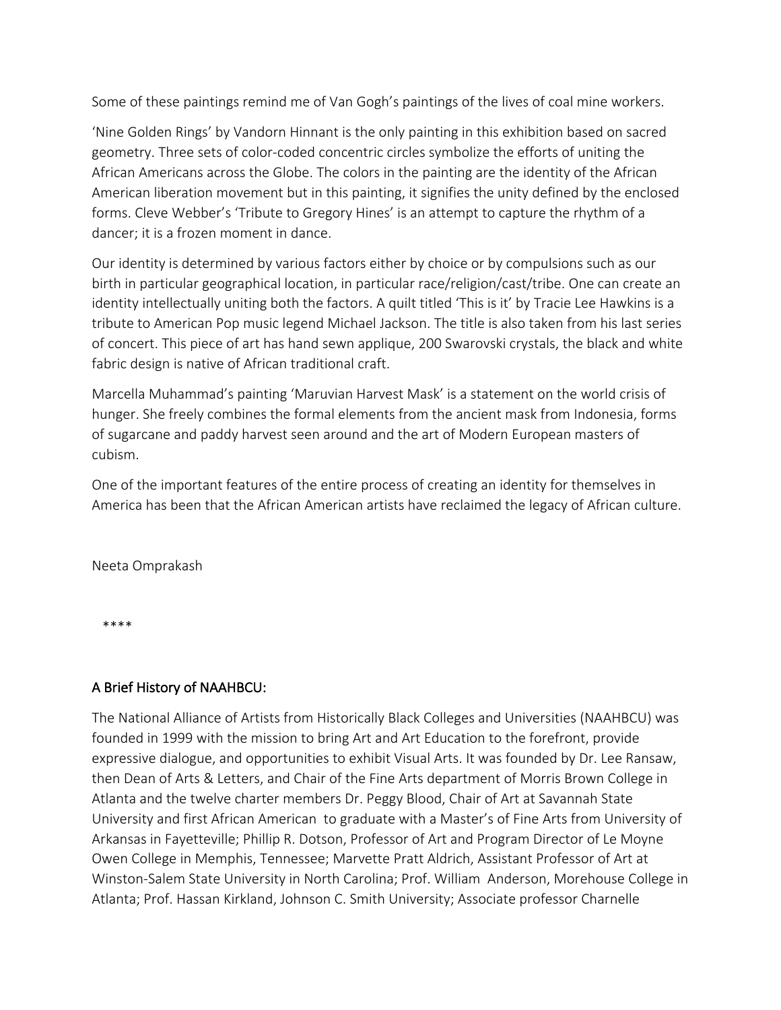Some of these paintings remind me of Van Gogh's paintings of the lives of coal mine workers.

'Nine Golden Rings' by Vandorn Hinnant is the only painting in this exhibition based on sacred geometry. Three sets of color-coded concentric circles symbolize the efforts of uniting the African Americans across the Globe. The colors in the painting are the identity of the African American liberation movement but in this painting, it signifies the unity defined by the enclosed forms. Cleve Webber's 'Tribute to Gregory Hines' is an attempt to capture the rhythm of a dancer; it is a frozen moment in dance.

Our identity is determined by various factors either by choice or by compulsions such as our birth in particular geographical location, in particular race/religion/cast/tribe. One can create an identity intellectually uniting both the factors. A quilt titled 'This is it' by Tracie Lee Hawkins is a tribute to American Pop music legend Michael Jackson. The title is also taken from his last series of concert. This piece of art has hand sewn applique, 200 Swarovski crystals, the black and white fabric design is native of African traditional craft.

Marcella Muhammad's painting 'Maruvian Harvest Mask' is a statement on the world crisis of hunger. She freely combines the formal elements from the ancient mask from Indonesia, forms of sugarcane and paddy harvest seen around and the art of Modern European masters of cubism.

One of the important features of the entire process of creating an identity for themselves in America has been that the African American artists have reclaimed the legacy of African culture.

Neeta Omprakash

\*\*\*\*

## A Brief History of NAAHBCU:

The National Alliance of Artists from Historically Black Colleges and Universities (NAAHBCU) was founded in 1999 with the mission to bring Art and Art Education to the forefront, provide expressive dialogue, and opportunities to exhibit Visual Arts. It was founded by Dr. Lee Ransaw, then Dean of Arts & Letters, and Chair of the Fine Arts department of Morris Brown College in Atlanta and the twelve charter members Dr. Peggy Blood, Chair of Art at Savannah State University and first African American to graduate with a Master's of Fine Arts from University of Arkansas in Fayetteville; Phillip R. Dotson, Professor of Art and Program Director of Le Moyne Owen College in Memphis, Tennessee; Marvette Pratt Aldrich, Assistant Professor of Art at Winston-Salem State University in North Carolina; Prof. William Anderson, Morehouse College in Atlanta; Prof. Hassan Kirkland, Johnson C. Smith University; Associate professor Charnelle